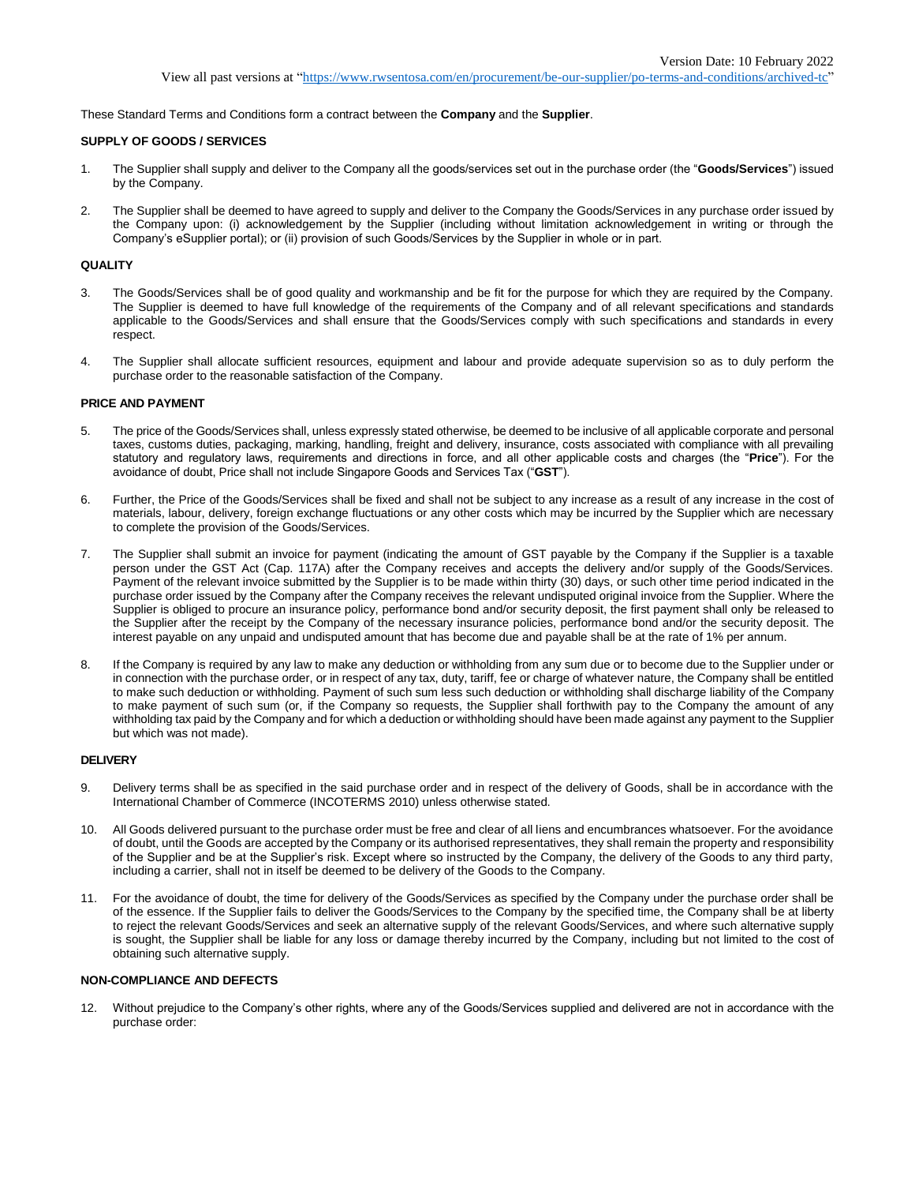These Standard Terms and Conditions form a contract between the **Company** and the **Supplier**.

## **SUPPLY OF GOODS / SERVICES**

- 1. The Supplier shall supply and deliver to the Company all the goods/services set out in the purchase order (the "**Goods/Services**") issued by the Company.
- 2. The Supplier shall be deemed to have agreed to supply and deliver to the Company the Goods/Services in any purchase order issued by the Company upon: (i) acknowledgement by the Supplier (including without limitation acknowledgement in writing or through the Company's eSupplier portal); or (ii) provision of such Goods/Services by the Supplier in whole or in part.

#### **QUALITY**

- 3. The Goods/Services shall be of good quality and workmanship and be fit for the purpose for which they are required by the Company. The Supplier is deemed to have full knowledge of the requirements of the Company and of all relevant specifications and standards applicable to the Goods/Services and shall ensure that the Goods/Services comply with such specifications and standards in every respect.
- 4. The Supplier shall allocate sufficient resources, equipment and labour and provide adequate supervision so as to duly perform the purchase order to the reasonable satisfaction of the Company.

## **PRICE AND PAYMENT**

- 5. The price of the Goods/Services shall, unless expressly stated otherwise, be deemed to be inclusive of all applicable corporate and personal taxes, customs duties, packaging, marking, handling, freight and delivery, insurance, costs associated with compliance with all prevailing statutory and regulatory laws, requirements and directions in force, and all other applicable costs and charges (the "**Price**"). For the avoidance of doubt, Price shall not include Singapore Goods and Services Tax ("**GST**").
- 6. Further, the Price of the Goods/Services shall be fixed and shall not be subject to any increase as a result of any increase in the cost of materials, labour, delivery, foreign exchange fluctuations or any other costs which may be incurred by the Supplier which are necessary to complete the provision of the Goods/Services.
- 7. The Supplier shall submit an invoice for payment (indicating the amount of GST payable by the Company if the Supplier is a taxable person under the GST Act (Cap. 117A) after the Company receives and accepts the delivery and/or supply of the Goods/Services. Payment of the relevant invoice submitted by the Supplier is to be made within thirty (30) days, or such other time period indicated in the purchase order issued by the Company after the Company receives the relevant undisputed original invoice from the Supplier. Where the Supplier is obliged to procure an insurance policy, performance bond and/or security deposit, the first payment shall only be released to the Supplier after the receipt by the Company of the necessary insurance policies, performance bond and/or the security deposit. The interest payable on any unpaid and undisputed amount that has become due and payable shall be at the rate of 1% per annum.
- 8. If the Company is required by any law to make any deduction or withholding from any sum due or to become due to the Supplier under or in connection with the purchase order, or in respect of any tax, duty, tariff, fee or charge of whatever nature, the Company shall be entitled to make such deduction or withholding. Payment of such sum less such deduction or withholding shall discharge liability of the Company to make payment of such sum (or, if the Company so requests, the Supplier shall forthwith pay to the Company the amount of any withholding tax paid by the Company and for which a deduction or withholding should have been made against any payment to the Supplier but which was not made).

#### **DELIVERY**

- 9. Delivery terms shall be as specified in the said purchase order and in respect of the delivery of Goods, shall be in accordance with the International Chamber of Commerce (INCOTERMS 2010) unless otherwise stated.
- 10. All Goods delivered pursuant to the purchase order must be free and clear of all liens and encumbrances whatsoever. For the avoidance of doubt, until the Goods are accepted by the Company or its authorised representatives, they shall remain the property and responsibility of the Supplier and be at the Supplier's risk. Except where so instructed by the Company, the delivery of the Goods to any third party, including a carrier, shall not in itself be deemed to be delivery of the Goods to the Company.
- 11. For the avoidance of doubt, the time for delivery of the Goods/Services as specified by the Company under the purchase order shall be of the essence. If the Supplier fails to deliver the Goods/Services to the Company by the specified time, the Company shall be at liberty to reject the relevant Goods/Services and seek an alternative supply of the relevant Goods/Services, and where such alternative supply is sought, the Supplier shall be liable for any loss or damage thereby incurred by the Company, including but not limited to the cost of obtaining such alternative supply.

# **NON-COMPLIANCE AND DEFECTS**

12. Without prejudice to the Company's other rights, where any of the Goods/Services supplied and delivered are not in accordance with the purchase order: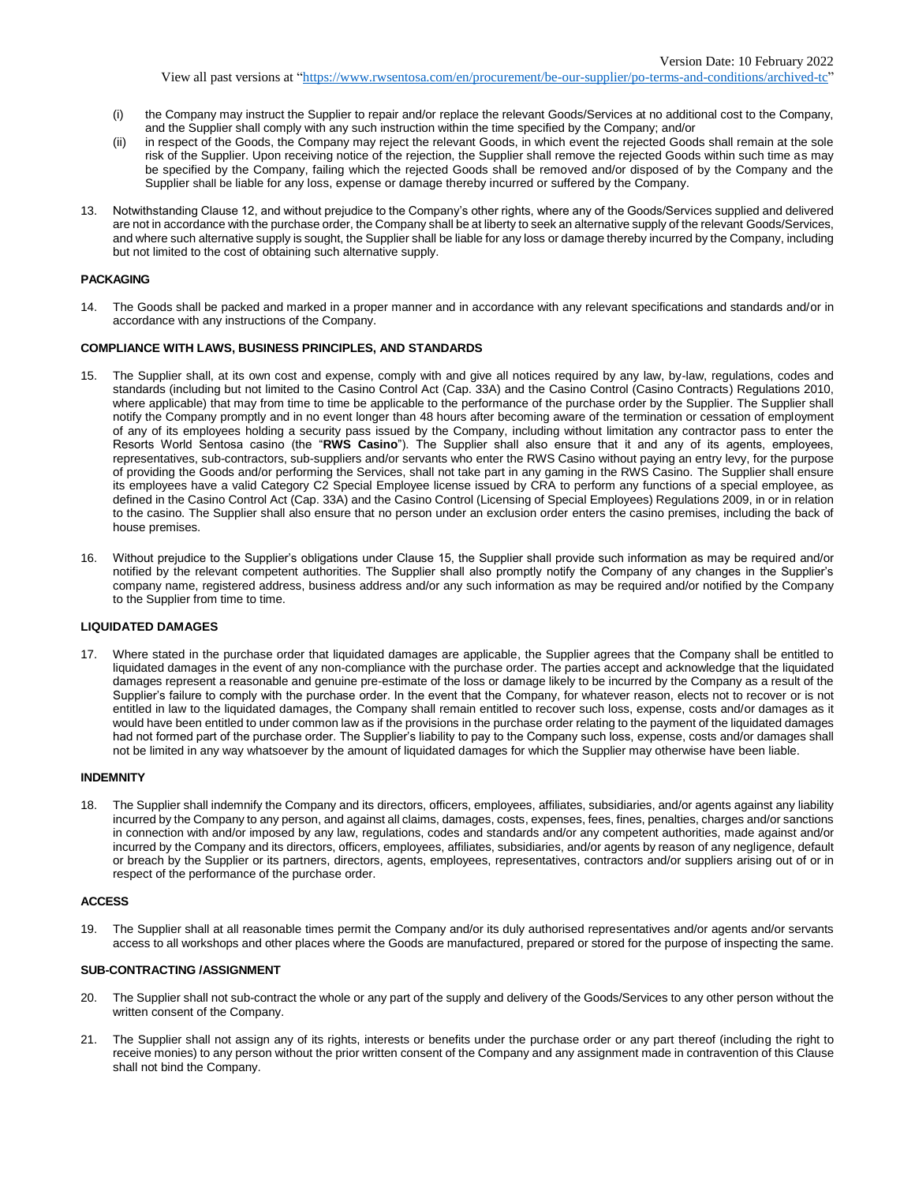View all past versions at ["https://www.rwsentosa.com/en/procurement/be-our-supplier/po-terms-and-conditions/archived-tc"](https://www.rwsentosa.com/en/procurement/be-our-supplier/po-terms-and-conditions/archived-tc)

- (i) the Company may instruct the Supplier to repair and/or replace the relevant Goods/Services at no additional cost to the Company, and the Supplier shall comply with any such instruction within the time specified by the Company; and/or
- (ii) in respect of the Goods, the Company may reject the relevant Goods, in which event the rejected Goods shall remain at the sole risk of the Supplier. Upon receiving notice of the rejection, the Supplier shall remove the rejected Goods within such time as may be specified by the Company, failing which the rejected Goods shall be removed and/or disposed of by the Company and the Supplier shall be liable for any loss, expense or damage thereby incurred or suffered by the Company.
- 13. Notwithstanding Clause 12, and without prejudice to the Company's other rights, where any of the Goods/Services supplied and delivered are not in accordance with the purchase order, the Company shall be at liberty to seek an alternative supply of the relevant Goods/Services, and where such alternative supply is sought, the Supplier shall be liable for any loss or damage thereby incurred by the Company, including but not limited to the cost of obtaining such alternative supply.

## **PACKAGING**

14. The Goods shall be packed and marked in a proper manner and in accordance with any relevant specifications and standards and/or in accordance with any instructions of the Company.

# **COMPLIANCE WITH LAWS, BUSINESS PRINCIPLES, AND STANDARDS**

- 15. The Supplier shall, at its own cost and expense, comply with and give all notices required by any law, by-law, regulations, codes and standards (including but not limited to the Casino Control Act (Cap. 33A) and the Casino Control (Casino Contracts) Regulations 2010, where applicable) that may from time to time be applicable to the performance of the purchase order by the Supplier. The Supplier shall notify the Company promptly and in no event longer than 48 hours after becoming aware of the termination or cessation of employment of any of its employees holding a security pass issued by the Company, including without limitation any contractor pass to enter the Resorts World Sentosa casino (the "**RWS Casino**"). The Supplier shall also ensure that it and any of its agents, employees, representatives, sub-contractors, sub-suppliers and/or servants who enter the RWS Casino without paying an entry levy, for the purpose of providing the Goods and/or performing the Services, shall not take part in any gaming in the RWS Casino. The Supplier shall ensure its employees have a valid Category C2 Special Employee license issued by CRA to perform any functions of a special employee, as defined in the Casino Control Act (Cap. 33A) and the Casino Control (Licensing of Special Employees) Regulations 2009, in or in relation to the casino. The Supplier shall also ensure that no person under an exclusion order enters the casino premises, including the back of house premises.
- 16. Without prejudice to the Supplier's obligations under Clause 15, the Supplier shall provide such information as may be required and/or notified by the relevant competent authorities. The Supplier shall also promptly notify the Company of any changes in the Supplier's company name, registered address, business address and/or any such information as may be required and/or notified by the Company to the Supplier from time to time.

## **LIQUIDATED DAMAGES**

17. Where stated in the purchase order that liquidated damages are applicable, the Supplier agrees that the Company shall be entitled to liquidated damages in the event of any non-compliance with the purchase order. The parties accept and acknowledge that the liquidated damages represent a reasonable and genuine pre-estimate of the loss or damage likely to be incurred by the Company as a result of the Supplier's failure to comply with the purchase order. In the event that the Company, for whatever reason, elects not to recover or is not entitled in law to the liquidated damages, the Company shall remain entitled to recover such loss, expense, costs and/or damages as it would have been entitled to under common law as if the provisions in the purchase order relating to the payment of the liquidated damages had not formed part of the purchase order. The Supplier's liability to pay to the Company such loss, expense, costs and/or damages shall not be limited in any way whatsoever by the amount of liquidated damages for which the Supplier may otherwise have been liable.

#### **INDEMNITY**

18. The Supplier shall indemnify the Company and its directors, officers, employees, affiliates, subsidiaries, and/or agents against any liability incurred by the Company to any person, and against all claims, damages, costs, expenses, fees, fines, penalties, charges and/or sanctions in connection with and/or imposed by any law, regulations, codes and standards and/or any competent authorities, made against and/or incurred by the Company and its directors, officers, employees, affiliates, subsidiaries, and/or agents by reason of any negligence, default or breach by the Supplier or its partners, directors, agents, employees, representatives, contractors and/or suppliers arising out of or in respect of the performance of the purchase order.

#### **ACCESS**

19. The Supplier shall at all reasonable times permit the Company and/or its duly authorised representatives and/or agents and/or servants access to all workshops and other places where the Goods are manufactured, prepared or stored for the purpose of inspecting the same.

## **SUB-CONTRACTING /ASSIGNMENT**

- 20. The Supplier shall not sub-contract the whole or any part of the supply and delivery of the Goods/Services to any other person without the written consent of the Company.
- 21. The Supplier shall not assign any of its rights, interests or benefits under the purchase order or any part thereof (including the right to receive monies) to any person without the prior written consent of the Company and any assignment made in contravention of this Clause shall not bind the Company.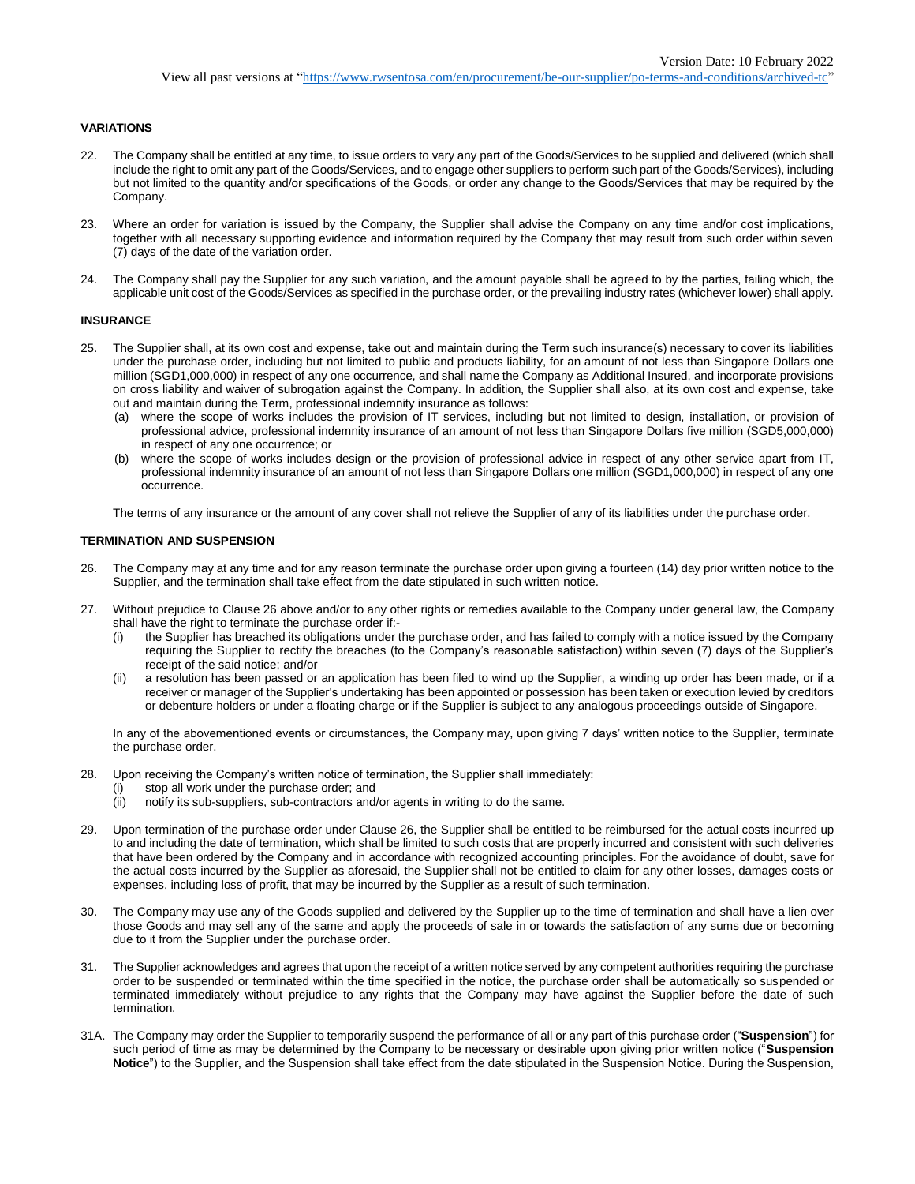# **VARIATIONS**

- 22. The Company shall be entitled at any time, to issue orders to vary any part of the Goods/Services to be supplied and delivered (which shall include the right to omit any part of the Goods/Services, and to engage other suppliers to perform such part of the Goods/Services), including but not limited to the quantity and/or specifications of the Goods, or order any change to the Goods/Services that may be required by the Company.
- 23. Where an order for variation is issued by the Company, the Supplier shall advise the Company on any time and/or cost implications, together with all necessary supporting evidence and information required by the Company that may result from such order within seven (7) days of the date of the variation order.
- 24. The Company shall pay the Supplier for any such variation, and the amount payable shall be agreed to by the parties, failing which, the applicable unit cost of the Goods/Services as specified in the purchase order, or the prevailing industry rates (whichever lower) shall apply.

## **INSURANCE**

- 25. The Supplier shall, at its own cost and expense, take out and maintain during the Term such insurance(s) necessary to cover its liabilities under the purchase order, including but not limited to public and products liability, for an amount of not less than Singapore Dollars one million (SGD1,000,000) in respect of any one occurrence, and shall name the Company as Additional Insured, and incorporate provisions on cross liability and waiver of subrogation against the Company. In addition, the Supplier shall also, at its own cost and expense, take out and maintain during the Term, professional indemnity insurance as follows:
	- (a) where the scope of works includes the provision of IT services, including but not limited to design, installation, or provision of professional advice, professional indemnity insurance of an amount of not less than Singapore Dollars five million (SGD5,000,000) in respect of any one occurrence; or
	- (b) where the scope of works includes design or the provision of professional advice in respect of any other service apart from IT, professional indemnity insurance of an amount of not less than Singapore Dollars one million (SGD1,000,000) in respect of any one occurrence.

The terms of any insurance or the amount of any cover shall not relieve the Supplier of any of its liabilities under the purchase order.

# **TERMINATION AND SUSPENSION**

- 26. The Company may at any time and for any reason terminate the purchase order upon giving a fourteen (14) day prior written notice to the Supplier, and the termination shall take effect from the date stipulated in such written notice.
- 27. Without prejudice to Clause 26 above and/or to any other rights or remedies available to the Company under general law, the Company shall have the right to terminate the purchase order if:-
	- (i) the Supplier has breached its obligations under the purchase order, and has failed to comply with a notice issued by the Company requiring the Supplier to rectify the breaches (to the Company's reasonable satisfaction) within seven (7) days of the Supplier's receipt of the said notice; and/or
	- (ii) a resolution has been passed or an application has been filed to wind up the Supplier, a winding up order has been made, or if a receiver or manager of the Supplier's undertaking has been appointed or possession has been taken or execution levied by creditors or debenture holders or under a floating charge or if the Supplier is subject to any analogous proceedings outside of Singapore.

In any of the abovementioned events or circumstances, the Company may, upon giving 7 days' written notice to the Supplier, terminate the purchase order.

- 28. Upon receiving the Company's written notice of termination, the Supplier shall immediately:
	- (i) stop all work under the purchase order; and
	- (ii) notify its sub-suppliers, sub-contractors and/or agents in writing to do the same.
- 29. Upon termination of the purchase order under Clause 26, the Supplier shall be entitled to be reimbursed for the actual costs incurred up to and including the date of termination, which shall be limited to such costs that are properly incurred and consistent with such deliveries that have been ordered by the Company and in accordance with recognized accounting principles. For the avoidance of doubt, save for the actual costs incurred by the Supplier as aforesaid, the Supplier shall not be entitled to claim for any other losses, damages costs or expenses, including loss of profit, that may be incurred by the Supplier as a result of such termination.
- 30. The Company may use any of the Goods supplied and delivered by the Supplier up to the time of termination and shall have a lien over those Goods and may sell any of the same and apply the proceeds of sale in or towards the satisfaction of any sums due or becoming due to it from the Supplier under the purchase order.
- 31. The Supplier acknowledges and agrees that upon the receipt of a written notice served by any competent authorities requiring the purchase order to be suspended or terminated within the time specified in the notice, the purchase order shall be automatically so suspended or terminated immediately without prejudice to any rights that the Company may have against the Supplier before the date of such termination.
- 31A. The Company may order the Supplier to temporarily suspend the performance of all or any part of this purchase order ("**Suspension**") for such period of time as may be determined by the Company to be necessary or desirable upon giving prior written notice ("**Suspension Notice**") to the Supplier, and the Suspension shall take effect from the date stipulated in the Suspension Notice. During the Suspension,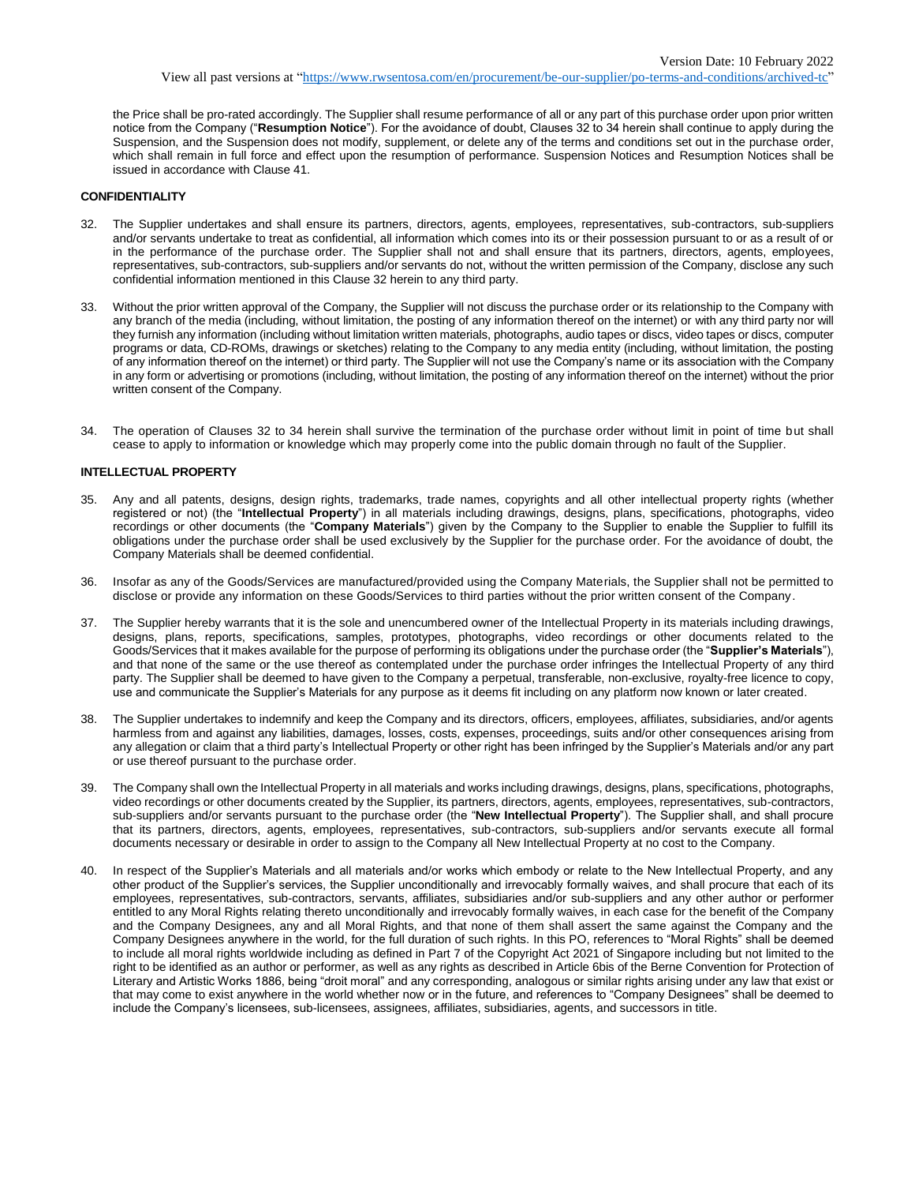View all past versions at ["https://www.rwsentosa.com/en/procurement/be-our-supplier/po-terms-and-conditions/archived-tc"](https://www.rwsentosa.com/en/procurement/be-our-supplier/po-terms-and-conditions/archived-tc)

the Price shall be pro-rated accordingly. The Supplier shall resume performance of all or any part of this purchase order upon prior written notice from the Company ("**Resumption Notice**"). For the avoidance of doubt, Clauses 32 to 34 herein shall continue to apply during the Suspension, and the Suspension does not modify, supplement, or delete any of the terms and conditions set out in the purchase order, which shall remain in full force and effect upon the resumption of performance. Suspension Notices and Resumption Notices shall be issued in accordance with Clause 41.

# **CONFIDENTIALITY**

- 32. The Supplier undertakes and shall ensure its partners, directors, agents, employees, representatives, sub-contractors, sub-suppliers and/or servants undertake to treat as confidential, all information which comes into its or their possession pursuant to or as a result of or in the performance of the purchase order. The Supplier shall not and shall ensure that its partners, directors, agents, employees, representatives, sub-contractors, sub-suppliers and/or servants do not, without the written permission of the Company, disclose any such confidential information mentioned in this Clause 32 herein to any third party.
- 33. Without the prior written approval of the Company, the Supplier will not discuss the purchase order or its relationship to the Company with any branch of the media (including, without limitation, the posting of any information thereof on the internet) or with any third party nor will they furnish any information (including without limitation written materials, photographs, audio tapes or discs, video tapes or discs, computer programs or data, CD-ROMs, drawings or sketches) relating to the Company to any media entity (including, without limitation, the posting of any information thereof on the internet) or third party. The Supplier will not use the Company's name or its association with the Company in any form or advertising or promotions (including, without limitation, the posting of any information thereof on the internet) without the prior written consent of the Company.
- 34. The operation of Clauses 32 to 34 herein shall survive the termination of the purchase order without limit in point of time but shall cease to apply to information or knowledge which may properly come into the public domain through no fault of the Supplier.

#### **INTELLECTUAL PROPERTY**

- 35. Any and all patents, designs, design rights, trademarks, trade names, copyrights and all other intellectual property rights (whether registered or not) (the "**Intellectual Property**") in all materials including drawings, designs, plans, specifications, photographs, video recordings or other documents (the "**Company Materials**") given by the Company to the Supplier to enable the Supplier to fulfill its obligations under the purchase order shall be used exclusively by the Supplier for the purchase order. For the avoidance of doubt, the Company Materials shall be deemed confidential.
- 36. Insofar as any of the Goods/Services are manufactured/provided using the Company Materials, the Supplier shall not be permitted to disclose or provide any information on these Goods/Services to third parties without the prior written consent of the Company.
- 37. The Supplier hereby warrants that it is the sole and unencumbered owner of the Intellectual Property in its materials including drawings, designs, plans, reports, specifications, samples, prototypes, photographs, video recordings or other documents related to the Goods/Services that it makes available for the purpose of performing its obligations under the purchase order (the "**Supplier's Materials**"), and that none of the same or the use thereof as contemplated under the purchase order infringes the Intellectual Property of any third party. The Supplier shall be deemed to have given to the Company a perpetual, transferable, non-exclusive, royalty-free licence to copy, use and communicate the Supplier's Materials for any purpose as it deems fit including on any platform now known or later created.
- 38. The Supplier undertakes to indemnify and keep the Company and its directors, officers, employees, affiliates, subsidiaries, and/or agents harmless from and against any liabilities, damages, losses, costs, expenses, proceedings, suits and/or other consequences arising from any allegation or claim that a third party's Intellectual Property or other right has been infringed by the Supplier's Materials and/or any part or use thereof pursuant to the purchase order.
- 39. The Company shall own the Intellectual Property in all materials and works including drawings, designs, plans, specifications, photographs, video recordings or other documents created by the Supplier, its partners, directors, agents, employees, representatives, sub-contractors, sub-suppliers and/or servants pursuant to the purchase order (the "**New Intellectual Property**"). The Supplier shall, and shall procure that its partners, directors, agents, employees, representatives, sub-contractors, sub-suppliers and/or servants execute all formal documents necessary or desirable in order to assign to the Company all New Intellectual Property at no cost to the Company.
- 40. In respect of the Supplier's Materials and all materials and/or works which embody or relate to the New Intellectual Property, and any other product of the Supplier's services, the Supplier unconditionally and irrevocably formally waives, and shall procure that each of its employees, representatives, sub-contractors, servants, affiliates, subsidiaries and/or sub-suppliers and any other author or performer entitled to any Moral Rights relating thereto unconditionally and irrevocably formally waives, in each case for the benefit of the Company and the Company Designees, any and all Moral Rights, and that none of them shall assert the same against the Company and the Company Designees anywhere in the world, for the full duration of such rights. In this PO, references to "Moral Rights" shall be deemed to include all moral rights worldwide including as defined in Part 7 of the Copyright Act 2021 of Singapore including but not limited to the right to be identified as an author or performer, as well as any rights as described in Article 6bis of the Berne Convention for Protection of Literary and Artistic Works 1886, being "droit moral" and any corresponding, analogous or similar rights arising under any law that exist or that may come to exist anywhere in the world whether now or in the future, and references to "Company Designees" shall be deemed to include the Company's licensees, sub-licensees, assignees, affiliates, subsidiaries, agents, and successors in title.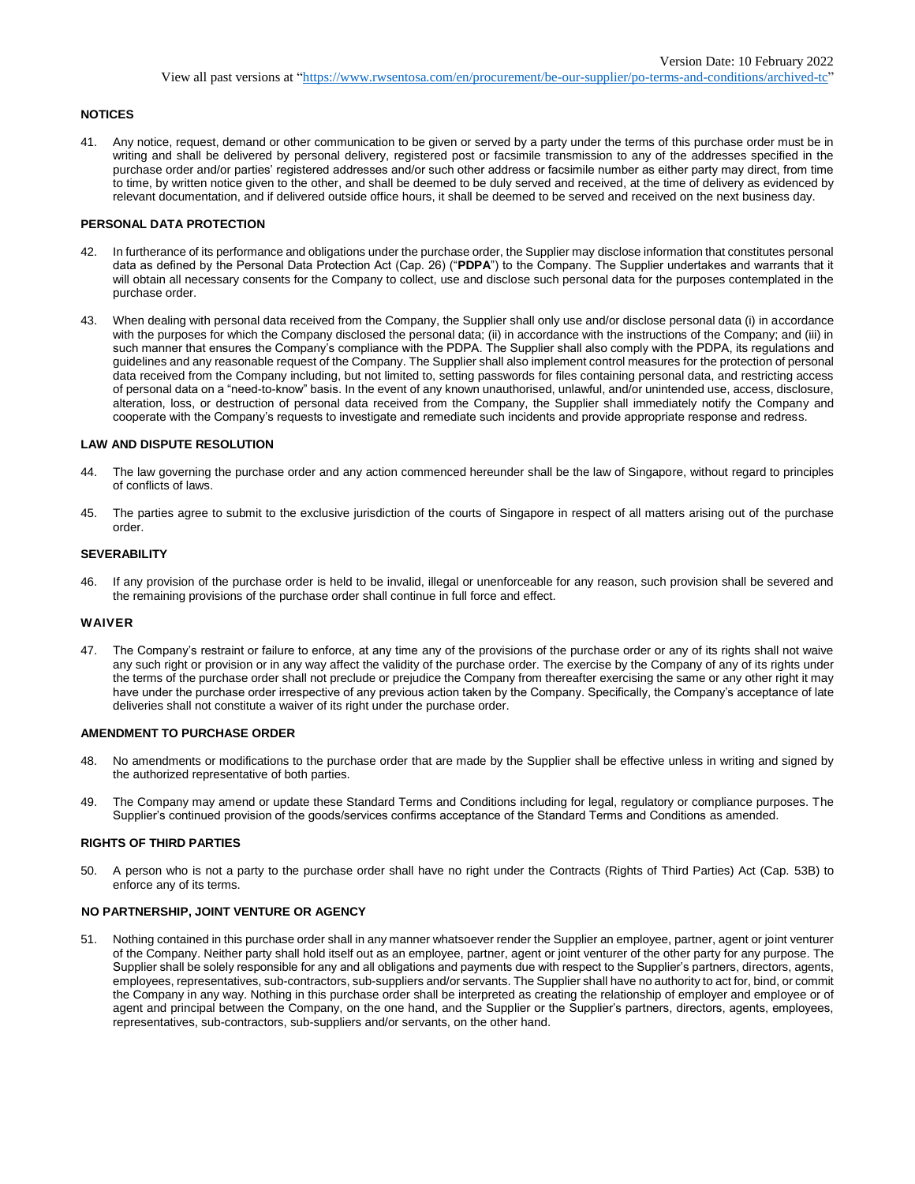## **NOTICES**

41. Any notice, request, demand or other communication to be given or served by a party under the terms of this purchase order must be in writing and shall be delivered by personal delivery, registered post or facsimile transmission to any of the addresses specified in the purchase order and/or parties' registered addresses and/or such other address or facsimile number as either party may direct, from time to time, by written notice given to the other, and shall be deemed to be duly served and received, at the time of delivery as evidenced by relevant documentation, and if delivered outside office hours, it shall be deemed to be served and received on the next business day.

## **PERSONAL DATA PROTECTION**

- 42. In furtherance of its performance and obligations under the purchase order, the Supplier may disclose information that constitutes personal data as defined by the Personal Data Protection Act (Cap. 26) ("**PDPA**") to the Company. The Supplier undertakes and warrants that it will obtain all necessary consents for the Company to collect, use and disclose such personal data for the purposes contemplated in the purchase order.
- 43. When dealing with personal data received from the Company, the Supplier shall only use and/or disclose personal data (i) in accordance with the purposes for which the Company disclosed the personal data; (ii) in accordance with the instructions of the Company; and (iii) in such manner that ensures the Company's compliance with the PDPA. The Supplier shall also comply with the PDPA, its regulations and guidelines and any reasonable request of the Company. The Supplier shall also implement control measures for the protection of personal data received from the Company including, but not limited to, setting passwords for files containing personal data, and restricting access of personal data on a "need-to-know" basis. In the event of any known unauthorised, unlawful, and/or unintended use, access, disclosure, alteration, loss, or destruction of personal data received from the Company, the Supplier shall immediately notify the Company and cooperate with the Company's requests to investigate and remediate such incidents and provide appropriate response and redress.

# **LAW AND DISPUTE RESOLUTION**

- 44. The law governing the purchase order and any action commenced hereunder shall be the law of Singapore, without regard to principles of conflicts of laws.
- 45. The parties agree to submit to the exclusive jurisdiction of the courts of Singapore in respect of all matters arising out of the purchase order.

# **SEVERABILITY**

46. If any provision of the purchase order is held to be invalid, illegal or unenforceable for any reason, such provision shall be severed and the remaining provisions of the purchase order shall continue in full force and effect.

## **WAIVER**

47. The Company's restraint or failure to enforce, at any time any of the provisions of the purchase order or any of its rights shall not waive any such right or provision or in any way affect the validity of the purchase order. The exercise by the Company of any of its rights under the terms of the purchase order shall not preclude or prejudice the Company from thereafter exercising the same or any other right it may have under the purchase order irrespective of any previous action taken by the Company. Specifically, the Company's acceptance of late deliveries shall not constitute a waiver of its right under the purchase order.

## **AMENDMENT TO PURCHASE ORDER**

- 48. No amendments or modifications to the purchase order that are made by the Supplier shall be effective unless in writing and signed by the authorized representative of both parties.
- 49. The Company may amend or update these Standard Terms and Conditions including for legal, regulatory or compliance purposes. The Supplier's continued provision of the goods/services confirms acceptance of the Standard Terms and Conditions as amended.

## **RIGHTS OF THIRD PARTIES**

50. A person who is not a party to the purchase order shall have no right under the Contracts (Rights of Third Parties) Act (Cap. 53B) to enforce any of its terms.

## **NO PARTNERSHIP, JOINT VENTURE OR AGENCY**

51. Nothing contained in this purchase order shall in any manner whatsoever render the Supplier an employee, partner, agent or joint venturer of the Company. Neither party shall hold itself out as an employee, partner, agent or joint venturer of the other party for any purpose. The Supplier shall be solely responsible for any and all obligations and payments due with respect to the Supplier's partners, directors, agents, employees, representatives, sub-contractors, sub-suppliers and/or servants. The Supplier shall have no authority to act for, bind, or commit the Company in any way. Nothing in this purchase order shall be interpreted as creating the relationship of employer and employee or of agent and principal between the Company, on the one hand, and the Supplier or the Supplier's partners, directors, agents, employees, representatives, sub-contractors, sub-suppliers and/or servants, on the other hand.